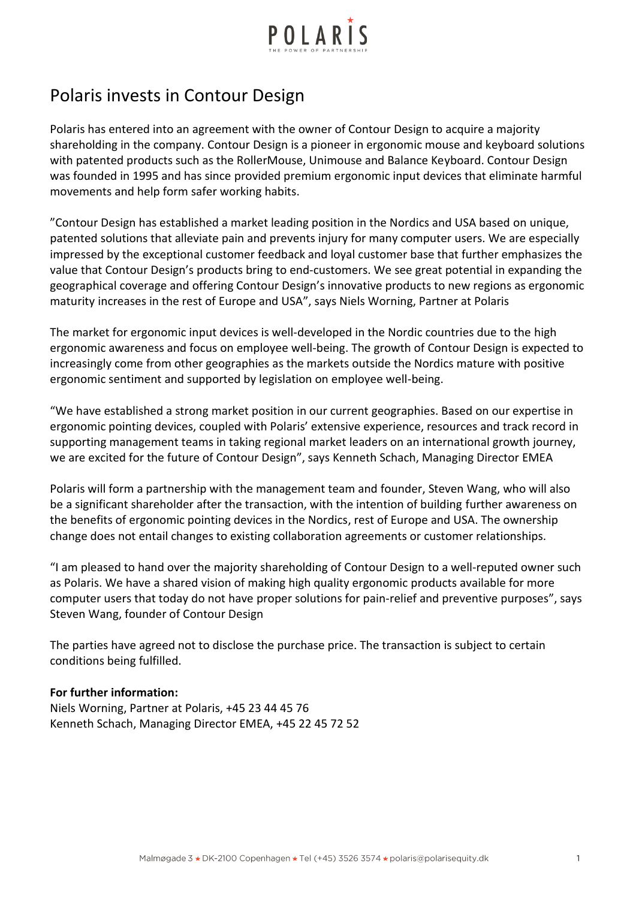

## Polaris invests in Contour Design

Polaris has entered into an agreement with the owner of Contour Design to acquire a majority shareholding in the company. Contour Design is a pioneer in ergonomic mouse and keyboard solutions with patented products such as the RollerMouse, Unimouse and Balance Keyboard. Contour Design was founded in 1995 and has since provided premium ergonomic input devices that eliminate harmful movements and help form safer working habits.

"Contour Design has established a market leading position in the Nordics and USA based on unique, patented solutions that alleviate pain and prevents injury for many computer users. We are especially impressed by the exceptional customer feedback and loyal customer base that further emphasizes the value that Contour Design's products bring to end-customers. We see great potential in expanding the geographical coverage and offering Contour Design's innovative products to new regions as ergonomic maturity increases in the rest of Europe and USA", says Niels Worning, Partner at Polaris

The market for ergonomic input devices is well-developed in the Nordic countries due to the high ergonomic awareness and focus on employee well-being. The growth of Contour Design is expected to increasingly come from other geographies as the markets outside the Nordics mature with positive ergonomic sentiment and supported by legislation on employee well-being.

"We have established a strong market position in our current geographies. Based on our expertise in ergonomic pointing devices, coupled with Polaris' extensive experience, resources and track record in supporting management teams in taking regional market leaders on an international growth journey, we are excited for the future of Contour Design", says Kenneth Schach, Managing Director EMEA

Polaris will form a partnership with the management team and founder, Steven Wang, who will also be a significant shareholder after the transaction, with the intention of building further awareness on the benefits of ergonomic pointing devices in the Nordics, rest of Europe and USA. The ownership change does not entail changes to existing collaboration agreements or customer relationships.

"I am pleased to hand over the majority shareholding of Contour Design to a well-reputed owner such as Polaris. We have a shared vision of making high quality ergonomic products available for more computer users that today do not have proper solutions for pain-relief and preventive purposes", says Steven Wang, founder of Contour Design

The parties have agreed not to disclose the purchase price. The transaction is subject to certain conditions being fulfilled.

## **For further information:**

Niels Worning, Partner at Polaris, +45 23 44 45 76 Kenneth Schach, Managing Director EMEA, +45 22 45 72 52